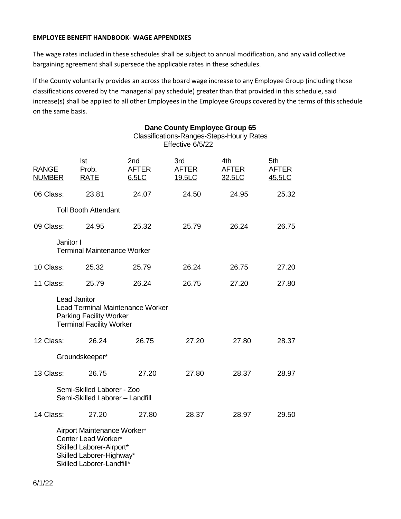#### **EMPLOYEE BENEFIT HANDBOOK- WAGE APPENDIXES**

The wage rates included in these schedules shall be subject to annual modification, and any valid collective bargaining agreement shall supersede the applicable rates in these schedules.

If the County voluntarily provides an across the board wage increase to any Employee Group (including those classifications covered by the managerial pay schedule) greater than that provided in this schedule, said increase(s) shall be applied to all other Employees in the Employee Groups covered by the terms of this schedule on the same basis.

|                               |                                                                                                                                         | Dane County Employee Group 65<br><b>Classifications-Ranges-Steps-Hourly Rates</b><br>Effective 6/5/22 |                               |                               |                               |  |  |  |
|-------------------------------|-----------------------------------------------------------------------------------------------------------------------------------------|-------------------------------------------------------------------------------------------------------|-------------------------------|-------------------------------|-------------------------------|--|--|--|
| <b>RANGE</b><br><b>NUMBER</b> | <b>Ist</b><br>Prob.<br><b>RATE</b>                                                                                                      | 2nd<br><b>AFTER</b><br>6.5LC                                                                          | 3rd<br><b>AFTER</b><br>19.5LC | 4th<br><b>AFTER</b><br>32.5LC | 5th<br><b>AFTER</b><br>45.5LC |  |  |  |
| 06 Class:                     | 23.81                                                                                                                                   | 24.07                                                                                                 | 24.50                         | 24.95                         | 25.32                         |  |  |  |
|                               | <b>Toll Booth Attendant</b>                                                                                                             |                                                                                                       |                               |                               |                               |  |  |  |
| 09 Class:                     | 24.95                                                                                                                                   | 25.32                                                                                                 | 25.79                         | 26.24                         | 26.75                         |  |  |  |
| Janitor I                     | <b>Terminal Maintenance Worker</b>                                                                                                      |                                                                                                       |                               |                               |                               |  |  |  |
| 10 Class:                     | 25.32                                                                                                                                   | 25.79                                                                                                 | 26.24                         | 26.75                         | 27.20                         |  |  |  |
| 11 Class:                     | 25.79                                                                                                                                   | 26.24                                                                                                 | 26.75                         | 27.20                         | 27.80                         |  |  |  |
|                               | <b>Lead Janitor</b><br><b>Parking Facility Worker</b><br><b>Terminal Facility Worker</b>                                                | <b>Lead Terminal Maintenance Worker</b>                                                               |                               |                               |                               |  |  |  |
| 12 Class:                     | 26.24                                                                                                                                   | 26.75                                                                                                 | 27.20                         | 27.80                         | 28.37                         |  |  |  |
|                               | Groundskeeper*                                                                                                                          |                                                                                                       |                               |                               |                               |  |  |  |
| 13 Class:                     | 26.75                                                                                                                                   | 27.20                                                                                                 | 27.80                         | 28.37                         | 28.97                         |  |  |  |
|                               | Semi-Skilled Laborer - Zoo<br>Semi-Skilled Laborer - Landfill                                                                           |                                                                                                       |                               |                               |                               |  |  |  |
| 14 Class:                     | 27.20                                                                                                                                   | 27.80                                                                                                 | 28.37                         | 28.97                         | 29.50                         |  |  |  |
|                               | Airport Maintenance Worker*<br>Center Lead Worker*<br>Skilled Laborer-Airport*<br>Skilled Laborer-Highway*<br>Skilled Laborer-Landfill* |                                                                                                       |                               |                               |                               |  |  |  |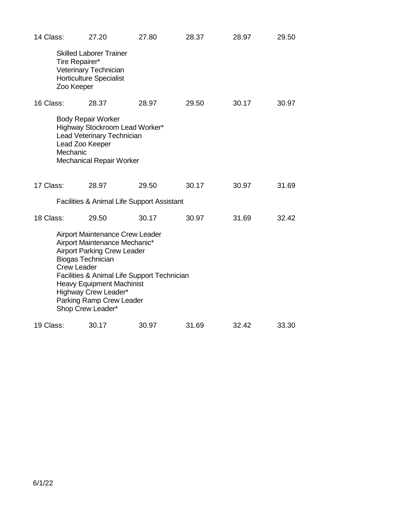| 14 Class: |                                                | 27.20                                                                                                                                                                                                                                                                     | 27.80 | 28.37 | 28.97 | 29.50 |
|-----------|------------------------------------------------|---------------------------------------------------------------------------------------------------------------------------------------------------------------------------------------------------------------------------------------------------------------------------|-------|-------|-------|-------|
|           | Tire Repairer*<br>Zoo Keeper                   | <b>Skilled Laborer Trainer</b><br>Veterinary Technician<br><b>Horticulture Specialist</b>                                                                                                                                                                                 |       |       |       |       |
| 16 Class: |                                                | 28.37                                                                                                                                                                                                                                                                     | 28.97 | 29.50 | 30.17 | 30.97 |
|           | Lead Zoo Keeper<br>Mechanic                    | <b>Body Repair Worker</b><br>Highway Stockroom Lead Worker*<br>Lead Veterinary Technician<br><b>Mechanical Repair Worker</b>                                                                                                                                              |       |       |       |       |
| 17 Class: |                                                | 28.97                                                                                                                                                                                                                                                                     | 29.50 | 30.17 | 30.97 | 31.69 |
|           |                                                | Facilities & Animal Life Support Assistant                                                                                                                                                                                                                                |       |       |       |       |
| 18 Class: |                                                | 29.50                                                                                                                                                                                                                                                                     | 30.17 | 30.97 | 31.69 | 32.42 |
|           | <b>Biogas Technician</b><br><b>Crew Leader</b> | <b>Airport Maintenance Crew Leader</b><br>Airport Maintenance Mechanic*<br><b>Airport Parking Crew Leader</b><br>Facilities & Animal Life Support Technician<br><b>Heavy Equipment Machinist</b><br>Highway Crew Leader*<br>Parking Ramp Crew Leader<br>Shop Crew Leader* |       |       |       |       |
| 19 Class: |                                                | 30.17                                                                                                                                                                                                                                                                     | 30.97 | 31.69 | 32.42 | 33.30 |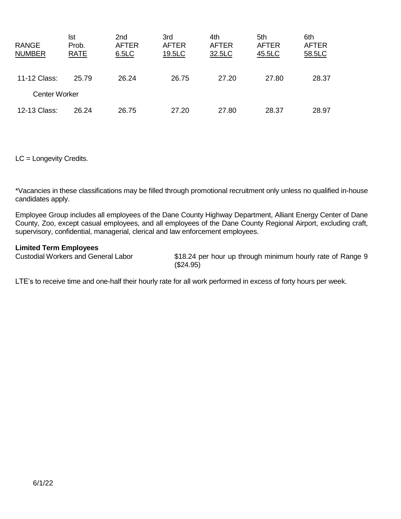| <b>RANGE</b><br><b>NUMBER</b> | lst<br>Prob.<br><b>RATE</b> | 2nd<br><b>AFTER</b><br>6.5LC | 3rd<br><b>AFTER</b><br>19.5LC | 4th<br><b>AFTER</b><br>32.5LC | 5th<br><b>AFTER</b><br>45.5LC | 6th<br><b>AFTER</b><br>58.5LC |
|-------------------------------|-----------------------------|------------------------------|-------------------------------|-------------------------------|-------------------------------|-------------------------------|
| 11-12 Class:                  | 25.79                       | 26.24                        | 26.75                         | 27.20                         | 27.80                         | 28.37                         |
| <b>Center Worker</b>          |                             |                              |                               |                               |                               |                               |
| 12-13 Class:                  | 26.24                       | 26.75                        | 27.20                         | 27.80                         | 28.37                         | 28.97                         |

LC = Longevity Credits.

\*Vacancies in these classifications may be filled through promotional recruitment only unless no qualified in-house candidates apply.

Employee Group includes all employees of the Dane County Highway Department, Alliant Energy Center of Dane County, Zoo, except casual employees, and all employees of the Dane County Regional Airport, excluding craft, supervisory, confidential, managerial, clerical and law enforcement employees.

**Limited Term Employees**

\$18.24 per hour up through minimum hourly rate of Range 9 (\$24.95)

LTE's to receive time and one-half their hourly rate for all work performed in excess of forty hours per week.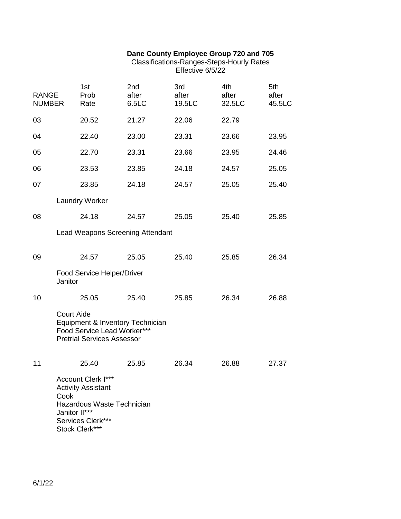#### **Dane County Employee Group 720 and 705**

#### Classifications-Ranges-Steps-Hourly Rates Effective 6/5/22

| <b>RANGE</b><br><b>NUMBER</b> | 1st<br>Prob<br>Rate                                                                                                                   | 2nd<br>after<br>6.5LC            | 3rd<br>after<br>19.5LC | 4th<br>after<br>32.5LC | 5th<br>after<br>45.5LC |
|-------------------------------|---------------------------------------------------------------------------------------------------------------------------------------|----------------------------------|------------------------|------------------------|------------------------|
| 03                            | 20.52                                                                                                                                 | 21.27                            | 22.06                  | 22.79                  |                        |
| 04                            | 22.40                                                                                                                                 | 23.00                            | 23.31                  | 23.66                  | 23.95                  |
| 05                            | 22.70                                                                                                                                 | 23.31                            | 23.66                  | 23.95                  | 24.46                  |
| 06                            | 23.53                                                                                                                                 | 23.85                            | 24.18                  | 24.57                  | 25.05                  |
| 07                            | 23.85                                                                                                                                 | 24.18                            | 24.57                  | 25.05                  | 25.40                  |
|                               | <b>Laundry Worker</b>                                                                                                                 |                                  |                        |                        |                        |
| 08                            | 24.18                                                                                                                                 | 24.57                            | 25.05                  | 25.40                  | 25.85                  |
|                               |                                                                                                                                       | Lead Weapons Screening Attendant |                        |                        |                        |
| 09                            | 24.57                                                                                                                                 | 25.05                            | 25.40                  | 25.85                  | 26.34                  |
| Janitor                       | Food Service Helper/Driver                                                                                                            |                                  |                        |                        |                        |
| 10                            | 25.05                                                                                                                                 | 25.40                            | 25.85                  | 26.34                  | 26.88                  |
| <b>Court Aide</b>             | Food Service Lead Worker***<br><b>Pretrial Services Assessor</b>                                                                      | Equipment & Inventory Technician |                        |                        |                        |
| 11                            | 25.40                                                                                                                                 | 25.85                            | 26.34                  | 26.88                  | 27.37                  |
| Cook                          | Account Clerk I***<br><b>Activity Assistant</b><br>Hazardous Waste Technician<br>Janitor II***<br>Services Clerk***<br>Stock Clerk*** |                                  |                        |                        |                        |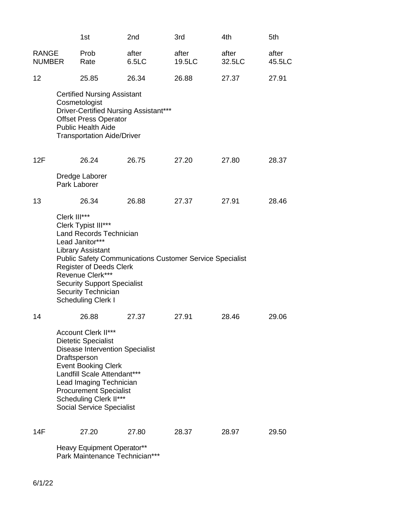|                               |              | 1st                                                                                                                                                                                                                                                                                                                            | 2nd                                                                 | 3rd             | 4th             | 5th             |  |  |  |
|-------------------------------|--------------|--------------------------------------------------------------------------------------------------------------------------------------------------------------------------------------------------------------------------------------------------------------------------------------------------------------------------------|---------------------------------------------------------------------|-----------------|-----------------|-----------------|--|--|--|
| <b>RANGE</b><br><b>NUMBER</b> |              | Prob<br>Rate                                                                                                                                                                                                                                                                                                                   | after<br>6.5LC                                                      | after<br>19.5LC | after<br>32.5LC | after<br>45.5LC |  |  |  |
| 12                            |              | 25.85                                                                                                                                                                                                                                                                                                                          | 26.34                                                               | 26.88           | 27.37           | 27.91           |  |  |  |
|                               |              | <b>Certified Nursing Assistant</b><br>Cosmetologist<br>Driver-Certified Nursing Assistant***<br><b>Offset Press Operator</b><br><b>Public Health Aide</b><br><b>Transportation Aide/Driver</b>                                                                                                                                 |                                                                     |                 |                 |                 |  |  |  |
| 12F                           |              | 26.24                                                                                                                                                                                                                                                                                                                          | 26.75                                                               | 27.20           | 27.80           | 28.37           |  |  |  |
|                               | Park Laborer | Dredge Laborer                                                                                                                                                                                                                                                                                                                 |                                                                     |                 |                 |                 |  |  |  |
| 13                            |              | 26.34                                                                                                                                                                                                                                                                                                                          | 26.88                                                               | 27.37           | 27.91           | 28.46           |  |  |  |
|                               | Clerk III*** | Clerk Typist III***<br><b>Land Records Technician</b><br>Lead Janitor***<br><b>Library Assistant</b><br><b>Public Safety Communications Customer Service Specialist</b><br><b>Register of Deeds Clerk</b><br>Revenue Clerk***<br><b>Security Support Specialist</b><br><b>Security Technician</b><br><b>Scheduling Clerk I</b> |                                                                     |                 |                 |                 |  |  |  |
| 14                            |              | 26.88                                                                                                                                                                                                                                                                                                                          | 27.37                                                               | 27.91           | 28.46           | 29.06           |  |  |  |
|                               | Draftsperson | <b>Account Clerk II***</b><br><b>Dietetic Specialist</b><br><b>Disease Intervention Specialist</b><br><b>Event Booking Clerk</b><br>Landfill Scale Attendant***<br>Lead Imaging Technician<br><b>Procurement Specialist</b><br>Scheduling Clerk II***<br><b>Social Service Specialist</b>                                      |                                                                     |                 |                 |                 |  |  |  |
| 14F                           |              | 27.20                                                                                                                                                                                                                                                                                                                          | 27.80                                                               | 28.37           | 28.97           | 29.50           |  |  |  |
|                               |              |                                                                                                                                                                                                                                                                                                                                | <b>Heavy Equipment Operator**</b><br>Park Maintenance Technician*** |                 |                 |                 |  |  |  |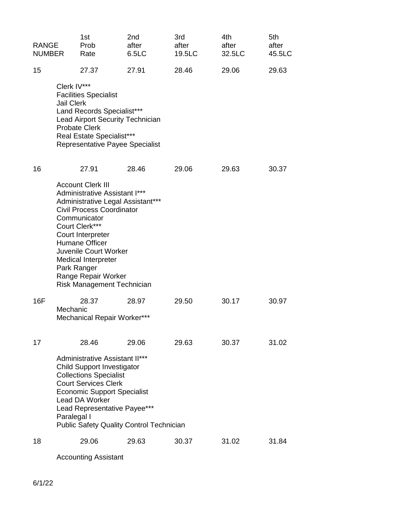| <b>RANGE</b><br><b>NUMBER</b> |                                  | 1st<br>Prob<br>Rate                                                                                                                                                                                                                                                                                       | 2nd<br>after<br>6.5LC                                    | 3rd<br>after<br>19.5LC | 4th<br>after<br>32.5LC | 5th<br>after<br>45.5LC |
|-------------------------------|----------------------------------|-----------------------------------------------------------------------------------------------------------------------------------------------------------------------------------------------------------------------------------------------------------------------------------------------------------|----------------------------------------------------------|------------------------|------------------------|------------------------|
| 15                            |                                  | 27.37                                                                                                                                                                                                                                                                                                     | 27.91                                                    | 28.46                  | 29.06                  | 29.63                  |
|                               | Clerk IV***<br><b>Jail Clerk</b> | <b>Facilities Specialist</b><br>Land Records Specialist***<br><b>Lead Airport Security Technician</b><br><b>Probate Clerk</b><br><b>Real Estate Specialist***</b><br>Representative Payee Specialist                                                                                                      |                                                          |                        |                        |                        |
| 16                            | Park Ranger                      | 27.91<br><b>Account Clerk III</b><br>Administrative Assistant I***<br>Administrative Legal Assistant***<br><b>Civil Process Coordinator</b><br>Communicator<br>Court Clerk***<br>Court Interpreter<br><b>Humane Officer</b><br>Juvenile Court Worker<br><b>Medical Interpreter</b><br>Range Repair Worker | 28.46                                                    | 29.06                  | 29.63                  | 30.37                  |
| 16F                           | Mechanic                         | Risk Management Technician<br>28.37<br>Mechanical Repair Worker***                                                                                                                                                                                                                                        | 28.97                                                    | 29.50                  | 30.17                  | 30.97                  |
| 17                            | Paralegal I                      | 28.46<br><b>Administrative Assistant II***</b><br><b>Child Support Investigator</b><br><b>Collections Specialist</b><br><b>Court Services Clerk</b><br><b>Economic Support Specialist</b><br>Lead DA Worker<br>Lead Representative Payee***                                                               | 29.06<br><b>Public Safety Quality Control Technician</b> | 29.63                  | 30.37                  | 31.02                  |
| 18                            |                                  | 29.06                                                                                                                                                                                                                                                                                                     | 29.63                                                    | 30.37                  | 31.02                  | 31.84                  |

Accounting Assistant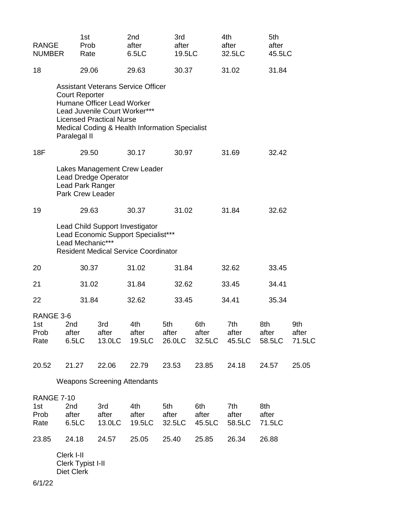| <b>RANGE</b><br><b>NUMBER</b>                                                                                                             |                                               | 1st<br>Prob<br>Rate |                                                                                                | 2nd<br>after<br>6.5 <sub>LC</sub>                                                           | 3rd<br>after<br>19.5LC |                        | 4th<br>after<br>32.5LC | 5th<br>after<br>45.5LC |                        |
|-------------------------------------------------------------------------------------------------------------------------------------------|-----------------------------------------------|---------------------|------------------------------------------------------------------------------------------------|---------------------------------------------------------------------------------------------|------------------------|------------------------|------------------------|------------------------|------------------------|
| 18                                                                                                                                        |                                               | 29.06               |                                                                                                | 29.63                                                                                       | 30.37                  |                        | 31.02                  | 31.84                  |                        |
|                                                                                                                                           | <b>Court Reporter</b><br>Paralegal II         |                     | Humane Officer Lead Worker<br>Lead Juvenile Court Worker***<br><b>Licensed Practical Nurse</b> | <b>Assistant Veterans Service Officer</b><br>Medical Coding & Health Information Specialist |                        |                        |                        |                        |                        |
| 18F                                                                                                                                       |                                               | 29.50               |                                                                                                | 30.17                                                                                       | 30.97                  |                        | 31.69                  | 32.42                  |                        |
|                                                                                                                                           | Lead Park Ranger<br><b>Park Crew Leader</b>   |                     | <b>Lead Dredge Operator</b>                                                                    | Lakes Management Crew Leader                                                                |                        |                        |                        |                        |                        |
| 19                                                                                                                                        |                                               | 29.63               |                                                                                                | 30.37                                                                                       | 31.02                  |                        | 31.84                  | 32.62                  |                        |
| Lead Child Support Investigator<br>Lead Economic Support Specialist***<br>Lead Mechanic***<br><b>Resident Medical Service Coordinator</b> |                                               |                     |                                                                                                |                                                                                             |                        |                        |                        |                        |                        |
| 20                                                                                                                                        |                                               | 30.37               |                                                                                                | 31.02                                                                                       | 31.84                  |                        | 32.62                  | 33.45                  |                        |
| 21                                                                                                                                        |                                               | 31.02               |                                                                                                | 31.84<br>32.62                                                                              |                        | 33.45                  | 34.41                  |                        |                        |
| 22                                                                                                                                        |                                               | 31.84               |                                                                                                | 32.62                                                                                       | 33.45                  |                        | 34.41<br>35.34         |                        |                        |
| RANGE 3-6<br>1st<br>Prob<br>Rate                                                                                                          | 2nd<br>after<br>6.5LC                         |                     | 3rd<br>after<br>13.0LC                                                                         | 4th<br>after<br>19.5LC                                                                      | 5th<br>after<br>26.0LC | 6th<br>after<br>32.5LC | 7th<br>after<br>45.5LC | 8th<br>after<br>58.5LC | 9th<br>after<br>71.5LC |
| 20.52                                                                                                                                     | 21.27                                         |                     | 22.06                                                                                          | 22.79                                                                                       | 23.53                  | 23.85                  | 24.18                  | 24.57                  | 25.05                  |
|                                                                                                                                           |                                               |                     |                                                                                                | <b>Weapons Screening Attendants</b>                                                         |                        |                        |                        |                        |                        |
| 1st<br>Prob<br>Rate                                                                                                                       | <b>RANGE 7-10</b><br>2nd<br>after<br>6.5LC    |                     | 3rd<br>after<br>13.0LC                                                                         | 4th<br>after<br>19.5LC                                                                      | 5th<br>after<br>32.5LC | 6th<br>after<br>45.5LC | 7th<br>after<br>58.5LC | 8th<br>after<br>71.5LC |                        |
| 23.85                                                                                                                                     | 24.18                                         |                     | 24.57                                                                                          | 25.05                                                                                       | 25.40                  | 25.85                  | 26.34                  | 26.88                  |                        |
| 6/1/22                                                                                                                                    | Clerk I-II<br>Clerk Typist I-II<br>Diet Clerk |                     |                                                                                                |                                                                                             |                        |                        |                        |                        |                        |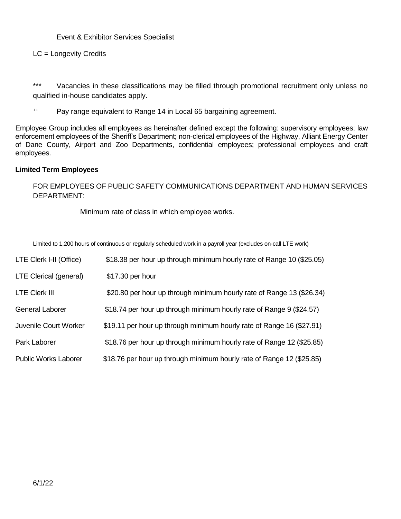### Event & Exhibitor Services Specialist

# LC = Longevity Credits

\*\*\* Vacancies in these classifications may be filled through promotional recruitment only unless no qualified in-house candidates apply.

++ Pay range equivalent to Range 14 in Local 65 bargaining agreement.

Employee Group includes all employees as hereinafter defined except the following: supervisory employees; law enforcement employees of the Sheriff's Department; non-clerical employees of the Highway, Alliant Energy Center of Dane County, Airport and Zoo Departments, confidential employees; professional employees and craft employees.

#### **Limited Term Employees**

FOR EMPLOYEES OF PUBLIC SAFETY COMMUNICATIONS DEPARTMENT AND HUMAN SERVICES DEPARTMENT:

Minimum rate of class in which employee works.

Limited to 1,200 hours of continuous or regularly scheduled work in a payroll year (excludes on-call LTE work)

| LTE Clerk I-II (Office)     | \$18.38 per hour up through minimum hourly rate of Range 10 (\$25.05) |
|-----------------------------|-----------------------------------------------------------------------|
| LTE Clerical (general)      | \$17.30 per hour                                                      |
| <b>LTE Clerk III</b>        | \$20.80 per hour up through minimum hourly rate of Range 13 (\$26.34) |
| <b>General Laborer</b>      | \$18.74 per hour up through minimum hourly rate of Range 9 (\$24.57)  |
| Juvenile Court Worker       | \$19.11 per hour up through minimum hourly rate of Range 16 (\$27.91) |
| Park Laborer                | \$18.76 per hour up through minimum hourly rate of Range 12 (\$25.85) |
| <b>Public Works Laborer</b> | \$18.76 per hour up through minimum hourly rate of Range 12 (\$25.85) |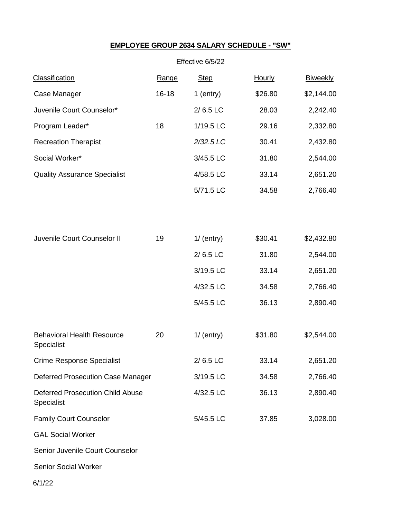# **EMPLOYEE GROUP 2634 SALARY SCHEDULE - "SW"**

|                                                       |           | Effective 6/5/22 |               |                 |
|-------------------------------------------------------|-----------|------------------|---------------|-----------------|
| <b>Classification</b>                                 | Range     | <b>Step</b>      | <b>Hourly</b> | <b>Biweekly</b> |
| Case Manager                                          | $16 - 18$ | $1$ (entry)      | \$26.80       | \$2,144.00      |
| Juvenile Court Counselor*                             |           | $2/6.5$ LC       | 28.03         | 2,242.40        |
| Program Leader*                                       | 18        | 1/19.5 LC        | 29.16         | 2,332.80        |
| <b>Recreation Therapist</b>                           |           | 2/32.5 LC        | 30.41         | 2,432.80        |
| Social Worker*                                        |           | 3/45.5 LC        | 31.80         | 2,544.00        |
| <b>Quality Assurance Specialist</b>                   |           | 4/58.5 LC        | 33.14         | 2,651.20        |
|                                                       |           | 5/71.5 LC        | 34.58         | 2,766.40        |
|                                                       |           |                  |               |                 |
| Juvenile Court Counselor II                           | 19        | $1/$ (entry)     | \$30.41       | \$2,432.80      |
|                                                       |           | $2/6.5$ LC       | 31.80         | 2,544.00        |
|                                                       |           | 3/19.5 LC        | 33.14         | 2,651.20        |
|                                                       |           | 4/32.5 LC        | 34.58         | 2,766.40        |
|                                                       |           | 5/45.5 LC        | 36.13         | 2,890.40        |
| <b>Behavioral Health Resource</b><br>Specialist       | 20        | $1/$ (entry)     | \$31.80       | \$2,544.00      |
| <b>Crime Response Specialist</b>                      |           | $2/6.5$ LC       | 33.14         | 2,651.20        |
| <b>Deferred Prosecution Case Manager</b>              |           | 3/19.5 LC        | 34.58         | 2,766.40        |
| <b>Deferred Prosecution Child Abuse</b><br>Specialist |           | 4/32.5 LC        | 36.13         | 2,890.40        |
| <b>Family Court Counselor</b>                         |           | 5/45.5 LC        | 37.85         | 3,028.00        |
| <b>GAL Social Worker</b>                              |           |                  |               |                 |
| Senior Juvenile Court Counselor                       |           |                  |               |                 |
| Senior Social Worker                                  |           |                  |               |                 |

6/1/22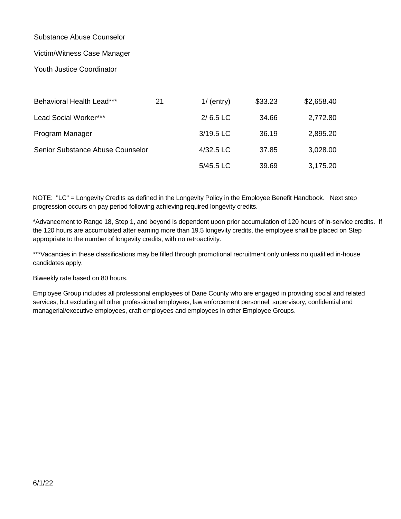# Substance Abuse Counselor

#### Victim/Witness Case Manager

#### Youth Justice Coordinator

| Behavioral Health Lead***        | 21 | $1/$ (entry) | \$33.23 | \$2,658.40 |
|----------------------------------|----|--------------|---------|------------|
| Lead Social Worker***            |    | $2/6.5$ LC   | 34.66   | 2,772.80   |
| Program Manager                  |    | 3/19.5 LC    | 36.19   | 2,895.20   |
| Senior Substance Abuse Counselor |    | 4/32.5 LC    | 37.85   | 3,028.00   |
|                                  |    | 5/45.5 LC    | 39.69   | 3,175.20   |

NOTE: "LC" = Longevity Credits as defined in the Longevity Policy in the Employee Benefit Handbook. Next step progression occurs on pay period following achieving required longevity credits.

\*Advancement to Range 18, Step 1, and beyond is dependent upon prior accumulation of 120 hours of in-service credits. If the 120 hours are accumulated after earning more than 19.5 longevity credits, the employee shall be placed on Step appropriate to the number of longevity credits, with no retroactivity.

\*\*\*Vacancies in these classifications may be filled through promotional recruitment only unless no qualified in-house candidates apply.

Biweekly rate based on 80 hours.

Employee Group includes all professional employees of Dane County who are engaged in providing social and related services, but excluding all other professional employees, law enforcement personnel, supervisory, confidential and managerial/executive employees, craft employees and employees in other Employee Groups.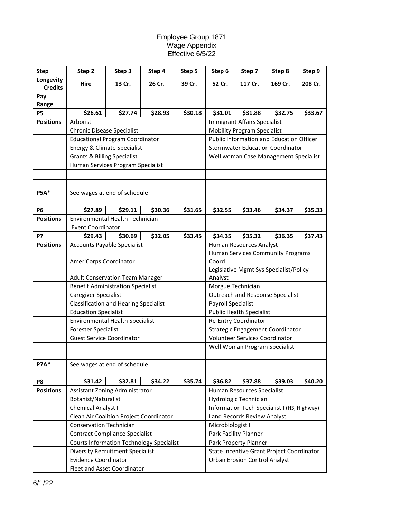#### Employee Group 1871 Wage Appendix Effective 6/5/22

| <b>Step</b>                 | Step 2                                          | Step 3  | Step 4                          | Step 5  | Step 6                                            | Step 7                               | Step 8                                      | Step 9  |  |
|-----------------------------|-------------------------------------------------|---------|---------------------------------|---------|---------------------------------------------------|--------------------------------------|---------------------------------------------|---------|--|
| Longevity<br><b>Credits</b> | Hire                                            | 13 Cr.  | 26 Cr.                          | 39 Cr.  | 52 Cr.                                            | 117 Cr.                              | 169 Cr.                                     | 208 Cr. |  |
| Pay                         |                                                 |         |                                 |         |                                                   |                                      |                                             |         |  |
| Range                       |                                                 |         |                                 |         |                                                   |                                      |                                             |         |  |
| <b>P5</b>                   | \$26.61                                         | \$27.74 | \$28.93                         | \$30.18 | \$31.01                                           | \$31.88                              | \$32.75                                     | \$33.67 |  |
| <b>Positions</b>            | Arborist                                        |         |                                 |         |                                                   | <b>Immigrant Affairs Specialist</b>  |                                             |         |  |
|                             | <b>Chronic Disease Specialist</b>               |         |                                 |         |                                                   | <b>Mobility Program Specialist</b>   |                                             |         |  |
|                             | <b>Educational Program Coordinator</b>          |         |                                 |         | Public Information and Education Officer          |                                      |                                             |         |  |
|                             | <b>Energy &amp; Climate Specialist</b>          |         |                                 |         |                                                   |                                      | <b>Stormwater Education Coordinator</b>     |         |  |
|                             | <b>Grants &amp; Billing Specialist</b>          |         |                                 |         |                                                   |                                      | Well woman Case Management Specialist       |         |  |
|                             | Human Services Program Specialist               |         |                                 |         |                                                   |                                      |                                             |         |  |
|                             |                                                 |         |                                 |         |                                                   |                                      |                                             |         |  |
|                             |                                                 |         |                                 |         |                                                   |                                      |                                             |         |  |
| <b>P5A*</b>                 | See wages at end of schedule                    |         |                                 |         |                                                   |                                      |                                             |         |  |
|                             |                                                 |         |                                 |         |                                                   |                                      |                                             |         |  |
| <b>P6</b>                   | \$27.89                                         | \$29.11 | \$30.36                         | \$31.65 | \$32.55                                           | \$33.46                              | \$34.37                                     | \$35.33 |  |
| <b>Positions</b>            | Environmental Health Technician                 |         |                                 |         |                                                   |                                      |                                             |         |  |
|                             | <b>Event Coordinator</b>                        |         |                                 |         |                                                   |                                      |                                             |         |  |
| <b>P7</b>                   | \$29.43                                         | \$30.69 | \$32.05                         | \$33.45 | \$34.35                                           | \$35.32                              | \$36.35                                     | \$37.43 |  |
| <b>Positions</b>            | <b>Accounts Payable Specialist</b>              |         |                                 |         |                                                   | Human Resources Analyst              |                                             |         |  |
|                             |                                                 |         |                                 |         |                                                   |                                      | Human Services Community Programs           |         |  |
|                             | AmeriCorps Coordinator                          |         |                                 |         | Coord                                             |                                      |                                             |         |  |
|                             | <b>Adult Conservation Team Manager</b>          |         |                                 |         | Legislative Mgmt Sys Specialist/Policy<br>Analyst |                                      |                                             |         |  |
|                             | <b>Benefit Administration Specialist</b>        |         |                                 |         | Morgue Technician                                 |                                      |                                             |         |  |
|                             | Caregiver Specialist                            |         |                                 |         |                                                   |                                      | Outreach and Response Specialist            |         |  |
|                             | <b>Classification and Hearing Specialist</b>    |         |                                 |         | <b>Payroll Specialist</b>                         |                                      |                                             |         |  |
|                             | <b>Education Specialist</b>                     |         | <b>Public Health Specialist</b> |         |                                                   |                                      |                                             |         |  |
|                             | <b>Environmental Health Specialist</b>          |         |                                 |         |                                                   | Re-Entry Coordinator                 |                                             |         |  |
|                             | <b>Forester Specialist</b>                      |         |                                 |         |                                                   |                                      | Strategic Engagement Coordinator            |         |  |
|                             | <b>Guest Service Coordinator</b>                |         |                                 |         |                                                   | Volunteer Services Coordinator       |                                             |         |  |
|                             |                                                 |         |                                 |         |                                                   |                                      | Well Woman Program Specialist               |         |  |
|                             |                                                 |         |                                 |         |                                                   |                                      |                                             |         |  |
| <b>P7A*</b>                 | See wages at end of schedule                    |         |                                 |         |                                                   |                                      |                                             |         |  |
|                             |                                                 |         |                                 |         |                                                   |                                      |                                             |         |  |
| P8                          | \$31.42                                         | \$32.81 | \$34.22                         | \$35.74 | \$36.82                                           | \$37.88                              | \$39.03                                     | \$40.20 |  |
| <b>Positions</b>            | Assistant Zoning Administrator                  |         |                                 |         |                                                   | Human Resources Specialist           |                                             |         |  |
|                             | Botanist/Naturalist                             |         |                                 |         |                                                   | Hydrologic Technician                |                                             |         |  |
|                             | Chemical Analyst I                              |         |                                 |         |                                                   |                                      | Information Tech Specialist I (HS, Highway) |         |  |
|                             | Clean Air Coalition Project Coordinator         |         |                                 |         |                                                   | Land Records Review Analyst          |                                             |         |  |
|                             | <b>Conservation Technician</b>                  |         |                                 |         | Microbiologist I                                  |                                      |                                             |         |  |
|                             | <b>Contract Compliance Specialist</b>           |         |                                 |         |                                                   | Park Facility Planner                |                                             |         |  |
|                             | <b>Courts Information Technology Specialist</b> |         |                                 |         |                                                   | Park Property Planner                |                                             |         |  |
|                             | <b>Diversity Recruitment Specialist</b>         |         |                                 |         |                                                   |                                      | State Incentive Grant Project Coordinator   |         |  |
|                             | <b>Evidence Coordinator</b>                     |         |                                 |         |                                                   | <b>Urban Erosion Control Analyst</b> |                                             |         |  |
|                             | Fleet and Asset Coordinator                     |         |                                 |         |                                                   |                                      |                                             |         |  |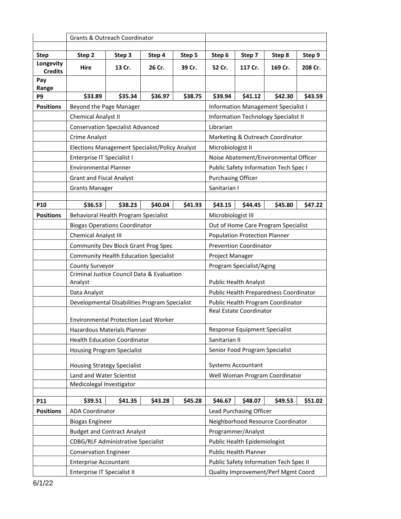|                          | Grants & Outreach Coordinator                                 |         |         |           |                                     |                                      |                                              |         |  |
|--------------------------|---------------------------------------------------------------|---------|---------|-----------|-------------------------------------|--------------------------------------|----------------------------------------------|---------|--|
|                          |                                                               |         |         |           |                                     |                                      |                                              |         |  |
| <b>Step</b><br>Longevity | Step 2                                                        | Step 3  | Step 4  | Step 5    | Step 6                              | Step 7                               | Step 8                                       | Step 9  |  |
| <b>Credits</b>           | Hire                                                          | 13 Cr.  | 26 Cr.  | 39 Cr.    | 52 Cr.                              | 117 Cr.                              | 169 Cr.                                      | 208 Cr. |  |
| Pay<br>Range             |                                                               |         |         |           |                                     |                                      |                                              |         |  |
| P9                       | \$33.89                                                       | \$35.34 | \$36.97 | \$38.75   | \$39.94                             | \$41.12                              | \$42.30                                      | \$43.59 |  |
| <b>Positions</b>         | Beyond the Page Manager                                       |         |         |           |                                     |                                      | <b>Information Management Specialist I</b>   |         |  |
|                          | Chemical Analyst II                                           |         |         |           |                                     |                                      | <b>Information Technology Specialist II</b>  |         |  |
|                          | <b>Conservation Specialist Advanced</b>                       |         |         | Librarian |                                     |                                      |                                              |         |  |
|                          | <b>Crime Analyst</b>                                          |         |         |           |                                     |                                      | Marketing & Outreach Coordinator             |         |  |
|                          | Elections Management Specialist/Policy Analyst                |         |         |           | Microbiologist II                   |                                      |                                              |         |  |
|                          | Enterprise IT Specialist I                                    |         |         |           |                                     |                                      | Noise Abatement/Environmental Officer        |         |  |
|                          | <b>Environmental Planner</b>                                  |         |         |           |                                     |                                      | <b>Public Safety Information Tech Spec I</b> |         |  |
|                          | <b>Grant and Fiscal Analyst</b>                               |         |         |           | <b>Purchasing Officer</b>           |                                      |                                              |         |  |
|                          | <b>Grants Manager</b>                                         |         |         |           | Sanitarian I                        |                                      |                                              |         |  |
|                          |                                                               |         |         |           |                                     |                                      |                                              |         |  |
| P <sub>10</sub>          | \$36.53                                                       | \$38.23 | \$40.04 | \$41.93   | \$43.15                             | \$44.45                              | \$45.80                                      | \$47.22 |  |
| <b>Positions</b>         | Behavioral Health Program Specialist                          |         |         |           | Microbiologist III                  |                                      |                                              |         |  |
|                          | <b>Biogas Operations Coordinator</b>                          |         |         |           |                                     |                                      | Out of Home Care Program Specialist          |         |  |
|                          | Chemical Analyst III                                          |         |         |           |                                     | <b>Population Protection Planner</b> |                                              |         |  |
|                          | Community Dev Block Grant Prog Spec                           |         |         |           | <b>Prevention Coordinator</b>       |                                      |                                              |         |  |
|                          | <b>Community Health Education Specialist</b>                  |         |         |           | Project Manager                     |                                      |                                              |         |  |
|                          | County Surveyor<br>Criminal Justice Council Data & Evaluation |         |         |           |                                     | Program Specialist/Aging             |                                              |         |  |
|                          | Analyst                                                       |         |         |           |                                     | <b>Public Health Analyst</b>         |                                              |         |  |
|                          | Data Analyst                                                  |         |         |           |                                     |                                      | Public Health Preparedness Coordinator       |         |  |
|                          | Developmental Disabilities Program Specialist                 |         |         |           |                                     |                                      | Public Health Program Coordinator            |         |  |
|                          |                                                               |         |         |           |                                     | Real Estate Coordinator              |                                              |         |  |
|                          | <b>Environmental Protection Lead Worker</b>                   |         |         |           |                                     |                                      |                                              |         |  |
|                          | Hazardous Materials Planner                                   |         |         |           |                                     | Response Equipment Specialist        |                                              |         |  |
|                          | <b>Health Education Coordinator</b>                           |         |         |           | Sanitarian II                       |                                      |                                              |         |  |
|                          | <b>Housing Program Specialist</b>                             |         |         |           |                                     | Senior Food Program Specialist       |                                              |         |  |
|                          | <b>Housing Strategy Specialist</b>                            |         |         |           |                                     | Systems Accountant                   |                                              |         |  |
|                          | Land and Water Scientist                                      |         |         |           |                                     |                                      | Well Woman Program Coordinator               |         |  |
|                          | Medicolegal Investigator                                      |         |         |           |                                     |                                      |                                              |         |  |
| P11                      | \$39.51                                                       | \$41.35 | \$43.28 | \$45.28   | \$46.67                             | \$48.07                              | \$49.53                                      | \$51.02 |  |
| <b>Positions</b>         | <b>ADA Coordinator</b>                                        |         |         |           |                                     | Lead Purchasing Officer              |                                              |         |  |
|                          | <b>Biogas Engineer</b>                                        |         |         |           |                                     |                                      | Neighborhood Resource Coordinator            |         |  |
|                          | <b>Budget and Contract Analyst</b>                            |         |         |           |                                     | Programmer/Analyst                   |                                              |         |  |
|                          | <b>CDBG/RLF Administrative Specialist</b>                     |         |         |           |                                     | Public Health Epidemiologist         |                                              |         |  |
|                          | <b>Conservation Engineer</b>                                  |         |         |           |                                     | Public Health Planner                |                                              |         |  |
|                          | <b>Enterprise Accountant</b>                                  |         |         |           |                                     |                                      | Public Safety Information Tech Spec II       |         |  |
|                          | Enterprise IT Specialist II                                   |         |         |           | Quality Improvement/Perf Mgmt Coord |                                      |                                              |         |  |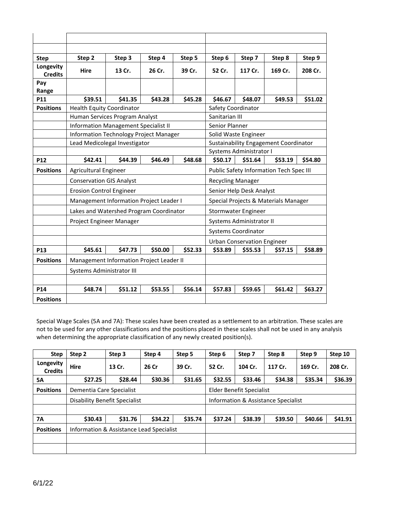| <b>Step</b>                 | Step 2                                        | Step 3  | Step 4  | Step 5  | Step 6                   | Step 7                             | Step 8                                  | Step 9  |
|-----------------------------|-----------------------------------------------|---------|---------|---------|--------------------------|------------------------------------|-----------------------------------------|---------|
| Longevity<br><b>Credits</b> | Hire                                          | 13 Cr.  | 26 Cr.  | 39 Cr.  | 52 Cr.                   | 117 Cr.                            | 169 Cr.                                 | 208 Cr. |
| Pay<br>Range                |                                               |         |         |         |                          |                                    |                                         |         |
| P11                         | \$39.51                                       | \$41.35 | \$43.28 | \$45.28 | \$46.67                  | \$48.07                            | \$49.53                                 | \$51.02 |
| <b>Positions</b>            | <b>Health Equity Coordinator</b>              |         |         |         | Safety Coordinator       |                                    |                                         |         |
|                             | Human Services Program Analyst                |         |         |         | Sanitarian III           |                                    |                                         |         |
|                             | <b>Information Management Specialist II</b>   |         |         |         | Senior Planner           |                                    |                                         |         |
|                             | <b>Information Technology Project Manager</b> |         |         |         |                          | Solid Waste Engineer               |                                         |         |
|                             | Lead Medicolegal Investigator                 |         |         |         |                          |                                    | Sustainability Engagement Coordinator   |         |
|                             |                                               |         |         |         |                          | Systems Administrator I            |                                         |         |
| <b>P12</b>                  | \$42.41                                       | \$44.39 | \$46.49 | \$48.68 | \$50.17                  | \$51.64                            | \$53.19                                 | \$54.80 |
| <b>Positions</b>            | Agricultural Engineer                         |         |         |         |                          |                                    | Public Safety Information Tech Spec III |         |
|                             | <b>Conservation GIS Analyst</b>               |         |         |         | <b>Recycling Manager</b> |                                    |                                         |         |
|                             | <b>Erosion Control Engineer</b>               |         |         |         |                          | Senior Help Desk Analyst           |                                         |         |
|                             | Management Information Project Leader I       |         |         |         |                          |                                    | Special Projects & Materials Manager    |         |
|                             | Lakes and Watershed Program Coordinator       |         |         |         |                          | Stormwater Engineer                |                                         |         |
|                             | Project Engineer Manager                      |         |         |         |                          | Systems Administrator II           |                                         |         |
|                             |                                               |         |         |         |                          | <b>Systems Coordinator</b>         |                                         |         |
|                             |                                               |         |         |         |                          | <b>Urban Conservation Engineer</b> |                                         |         |
| P <sub>13</sub>             | \$45.61                                       | \$47.73 | \$50.00 | \$52.33 | \$53.89                  | \$55.53                            | \$57.15                                 | \$58.89 |
| <b>Positions</b>            | Management Information Project Leader II      |         |         |         |                          |                                    |                                         |         |
|                             | Systems Administrator III                     |         |         |         |                          |                                    |                                         |         |
|                             |                                               |         |         |         |                          |                                    |                                         |         |
| P <sub>14</sub>             | \$48.74                                       | \$51.12 | \$53.55 | \$56.14 | \$57.83                  | \$59.65                            | \$61.42                                 | \$63.27 |
| <b>Positions</b>            |                                               |         |         |         |                          |                                    |                                         |         |

Special Wage Scales (5A and 7A): These scales have been created as a settlement to an arbitration. These scales are not to be used for any other classifications and the positions placed in these scales shall not be used in any analysis when determining the appropriate classification of any newly created position(s).

| <b>Step</b>                 | Step <sub>2</sub>                        | Step 3  | Step 4  | Step 5  | Step 6                              | Step 7  | Step 8  | Step 9  | Step 10 |
|-----------------------------|------------------------------------------|---------|---------|---------|-------------------------------------|---------|---------|---------|---------|
| Longevity<br><b>Credits</b> | <b>Hire</b>                              | 13 Cr.  | 26 Cr   | 39 Cr.  | 52 Cr.                              | 104 Cr. | 117 Cr. | 169 Cr. | 208 Cr. |
| 5А                          | \$27.25                                  | \$28.44 | \$30.36 | \$31.65 | \$32.55                             | \$33.46 | \$34.38 | \$35.34 | \$36.39 |
| <b>Positions</b>            | Dementia Care Specialist                 |         |         |         | Elder Benefit Specialist            |         |         |         |         |
|                             | Disability Benefit Specialist            |         |         |         | Information & Assistance Specialist |         |         |         |         |
|                             |                                          |         |         |         |                                     |         |         |         |         |
| 7Α                          | \$30.43                                  | \$31.76 | \$34.22 | \$35.74 | \$37.24                             | \$38.39 | \$39.50 | \$40.66 | \$41.91 |
| <b>Positions</b>            | Information & Assistance Lead Specialist |         |         |         |                                     |         |         |         |         |
|                             |                                          |         |         |         |                                     |         |         |         |         |
|                             |                                          |         |         |         |                                     |         |         |         |         |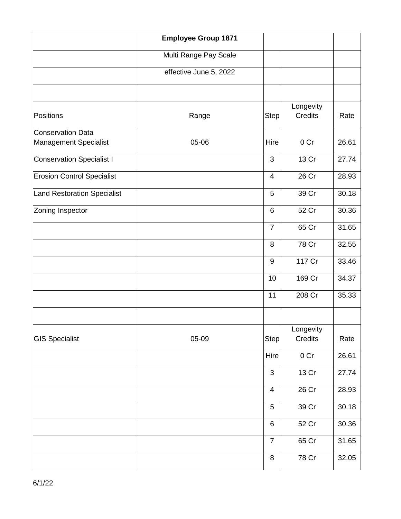|                                            | <b>Employee Group 1871</b> |                          |                             |       |
|--------------------------------------------|----------------------------|--------------------------|-----------------------------|-------|
|                                            | Multi Range Pay Scale      |                          |                             |       |
|                                            | effective June 5, 2022     |                          |                             |       |
|                                            |                            |                          |                             |       |
| Positions                                  | Range                      | <b>Step</b>              | Longevity<br><b>Credits</b> | Rate  |
| Conservation Data<br>Management Specialist | 05-06                      | Hire                     | 0 Cr                        | 26.61 |
| Conservation Specialist I                  |                            | 3                        | 13 Cr                       | 27.74 |
| <b>Erosion Control Specialist</b>          |                            | $\overline{4}$           | 26 Cr                       | 28.93 |
| Land Restoration Specialist                |                            | 5                        | 39 Cr                       | 30.18 |
| Zoning Inspector                           |                            | 6                        | 52 Cr                       | 30.36 |
|                                            |                            | $\overline{7}$           | 65 Cr                       | 31.65 |
|                                            |                            | 8                        | 78 Cr                       | 32.55 |
|                                            |                            | 9                        | 117 Cr                      | 33.46 |
|                                            |                            | 10                       | 169 Cr                      | 34.37 |
|                                            |                            | 11                       | 208 Cr                      | 35.33 |
|                                            |                            |                          |                             |       |
| <b>GIS Specialist</b>                      | 05-09                      | <b>Step</b>              | Longevity<br>Credits        | Rate  |
|                                            |                            | Hire                     | 0 Cr                        | 26.61 |
|                                            |                            | 3                        | 13 Cr                       | 27.74 |
|                                            |                            | $\overline{\mathcal{A}}$ | 26 Cr                       | 28.93 |
|                                            |                            | $\sqrt{5}$               | 39 Cr                       | 30.18 |
|                                            |                            | $\,6$                    | 52 Cr                       | 30.36 |
|                                            |                            | $\overline{7}$           | 65 Cr                       | 31.65 |
|                                            |                            | $\,8\,$                  | 78 Cr                       | 32.05 |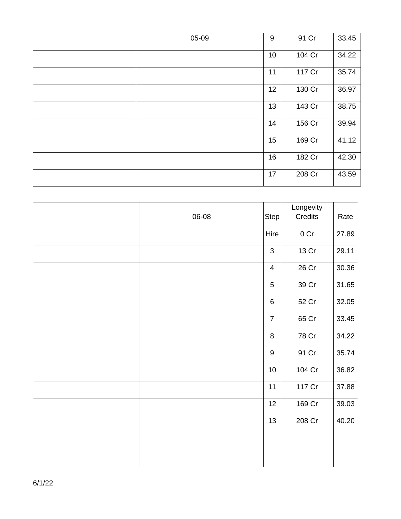| 05-09 | $9\,$ | 91 Cr  | 33.45 |
|-------|-------|--------|-------|
|       | 10    | 104 Cr | 34.22 |
|       | 11    | 117 Cr | 35.74 |
|       | 12    | 130 Cr | 36.97 |
|       | 13    | 143 Cr | 38.75 |
|       | 14    | 156 Cr | 39.94 |
|       | 15    | 169 Cr | 41.12 |
|       | 16    | 182 Cr | 42.30 |
|       | 17    | 208 Cr | 43.59 |

| 06-08 | Step                    | Longevity<br>Credits | Rate  |
|-------|-------------------------|----------------------|-------|
|       | Hire                    | 0 Cr                 | 27.89 |
|       | 3                       | 13 Cr                | 29.11 |
|       | $\overline{\mathbf{4}}$ | 26 Cr                | 30.36 |
|       | 5                       | 39 Cr                | 31.65 |
|       | $\,6\,$                 | 52 Cr                | 32.05 |
|       | $\overline{7}$          | 65 Cr                | 33.45 |
|       | 8                       | 78 Cr                | 34.22 |
|       | $\boldsymbol{9}$        | 91 Cr                | 35.74 |
|       | $10$                    | 104 Cr               | 36.82 |
|       | 11                      | 117 Cr               | 37.88 |
|       | 12                      | 169 Cr               | 39.03 |
|       | 13                      | 208 Cr               | 40.20 |
|       |                         |                      |       |
|       |                         |                      |       |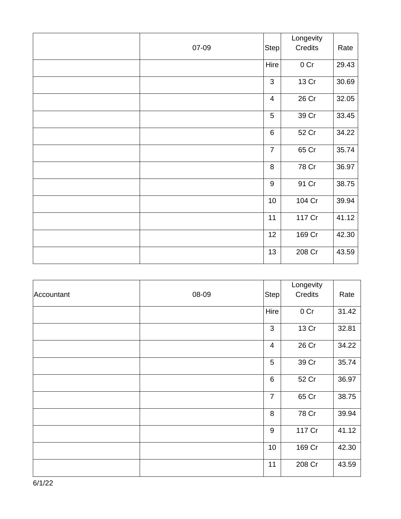|       |                 | Longevity       |       |
|-------|-----------------|-----------------|-------|
| 07-09 | Step            | Credits         | Rate  |
|       | Hire            | 0 <sub>cr</sub> | 29.43 |
|       | $\mathsf 3$     | 13 Cr           | 30.69 |
|       | $\overline{4}$  | 26 Cr           | 32.05 |
|       | 5               | 39 Cr           | 33.45 |
|       | $6\phantom{1}6$ | 52 Cr           | 34.22 |
|       | $\overline{7}$  | 65 Cr           | 35.74 |
|       | 8               | 78 Cr           | 36.97 |
|       | $9\,$           | 91 Cr           | 38.75 |
|       | 10              | 104 Cr          | 39.94 |
|       | 11              | 117 Cr          | 41.12 |
|       | 12              | 169 Cr          | 42.30 |
|       | 13              | 208 Cr          | 43.59 |

|            |       |                | Longevity       |       |
|------------|-------|----------------|-----------------|-------|
| Accountant | 08-09 | <b>Step</b>    | Credits         | Rate  |
|            |       | Hire           | 0 <sub>cr</sub> | 31.42 |
|            |       | 3              | 13 Cr           | 32.81 |
|            |       | $\overline{4}$ | 26 Cr           | 34.22 |
|            |       | 5              | 39 Cr           | 35.74 |
|            |       | $6\,$          | 52 Cr           | 36.97 |
|            |       | $\overline{7}$ | 65 Cr           | 38.75 |
|            |       | 8              | 78 Cr           | 39.94 |
|            |       | $9\,$          | 117 Cr          | 41.12 |
|            |       | 10             | 169 Cr          | 42.30 |
|            |       | 11             | 208 Cr          | 43.59 |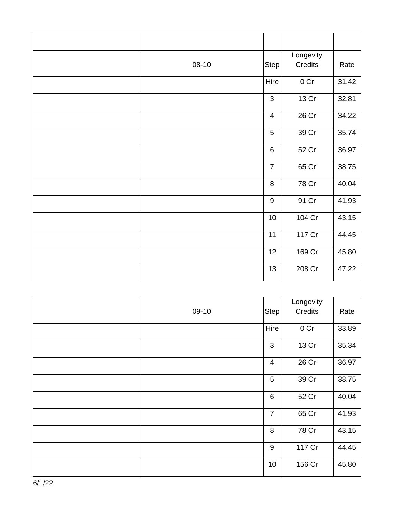| 08-10 | Step            | Longevity<br>Credits | Rate  |
|-------|-----------------|----------------------|-------|
|       | Hire            | 0 <sub>cr</sub>      | 31.42 |
|       | $\mathfrak{B}$  | 13 Cr                | 32.81 |
|       | $\overline{4}$  | 26 Cr                | 34.22 |
|       | 5               | 39 Cr                | 35.74 |
|       | $6\phantom{1}6$ | 52 Cr                | 36.97 |
|       | $\overline{7}$  | 65 Cr                | 38.75 |
|       | 8               | 78 Cr                | 40.04 |
|       | $9\,$           | 91 Cr                | 41.93 |
|       | 10              | 104 Cr               | 43.15 |
|       | 11              | 117 Cr               | 44.45 |
|       | 12              | 169 Cr               | 45.80 |
|       | 13              | 208 Cr               | 47.22 |

| 09-10 | $\vert$ Step $\vert$ | Longevity<br>Credits | Rate  |
|-------|----------------------|----------------------|-------|
|       | Hire                 | 0 <sub>cr</sub>      | 33.89 |
|       | 3                    | 13 Cr                | 35.34 |
|       | $\overline{4}$       | 26 Cr                | 36.97 |
|       | 5                    | 39 Cr                | 38.75 |
|       | $6\phantom{1}6$      | 52 Cr                | 40.04 |
|       | $\overline{7}$       | 65 Cr                | 41.93 |
|       | 8                    | 78 Cr                | 43.15 |
|       | $9$                  | 117 Cr               | 44.45 |
|       | 10                   | 156 Cr               | 45.80 |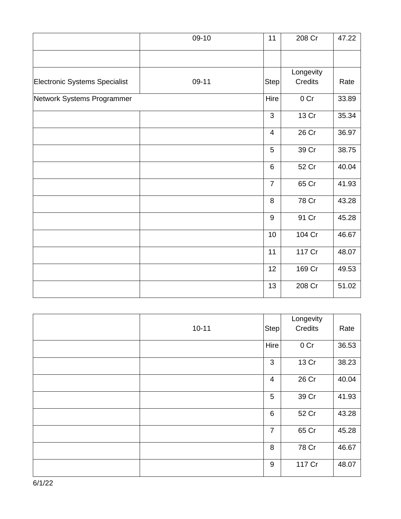|                               | 09-10 | 11             | 208 Cr          | 47.22 |
|-------------------------------|-------|----------------|-----------------|-------|
|                               |       |                |                 |       |
|                               |       |                | Longevity       |       |
| Electronic Systems Specialist | 09-11 | <b>Step</b>    | <b>Credits</b>  | Rate  |
| Network Systems Programmer    |       | Hire           | 0 <sub>cr</sub> | 33.89 |
|                               |       | 3              | 13 Cr           | 35.34 |
|                               |       | $\overline{4}$ | 26 Cr           | 36.97 |
|                               |       | 5              | 39 Cr           | 38.75 |
|                               |       | $\,6\,$        | 52 Cr           | 40.04 |
|                               |       | $\overline{7}$ | 65 Cr           | 41.93 |
|                               |       | 8              | 78 Cr           | 43.28 |
|                               |       | $9\,$          | 91 Cr           | 45.28 |
|                               |       | 10             | 104 Cr          | 46.67 |
|                               |       | 11             | 117 Cr          | 48.07 |
|                               |       | 12             | 169 Cr          | 49.53 |
|                               |       | 13             | 208 Cr          | 51.02 |

| $10 - 11$ | Stepl          | Longevity<br>Credits | Rate  |
|-----------|----------------|----------------------|-------|
|           | Hire           | 0 <sub>cr</sub>      | 36.53 |
|           | 3              | 13 Cr                | 38.23 |
|           | $\overline{4}$ | 26 Cr                | 40.04 |
|           | 5              | 39 Cr                | 41.93 |
|           | $\,6$          | 52 Cr                | 43.28 |
|           | $\overline{7}$ | 65 Cr                | 45.28 |
|           | 8              | 78 Cr                | 46.67 |
|           | $9\,$          | 117 Cr               | 48.07 |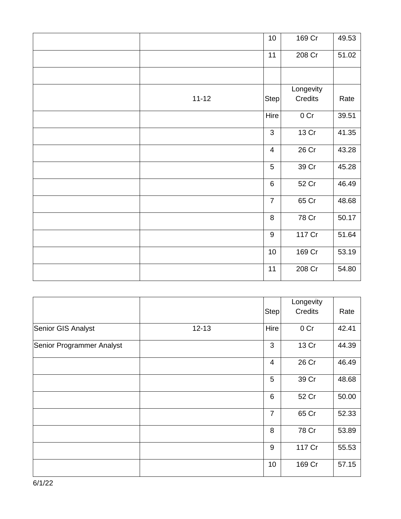|           | $10$                    | 169 Cr          | 49.53 |
|-----------|-------------------------|-----------------|-------|
|           | 11                      | 208 Cr          | 51.02 |
|           |                         |                 |       |
|           |                         | Longevity       |       |
| $11 - 12$ | Step                    | Credits         | Rate  |
|           | Hire                    | 0 <sub>cr</sub> | 39.51 |
|           | 3                       | 13 Cr           | 41.35 |
|           | $\overline{\mathbf{4}}$ | 26 Cr           | 43.28 |
|           | 5                       | 39 Cr           | 45.28 |
|           | $6\phantom{1}$          | 52 Cr           | 46.49 |
|           | $\overline{7}$          | 65 Cr           | 48.68 |
|           | 8                       | 78 Cr           | 50.17 |
|           | $\boldsymbol{9}$        | 117 Cr          | 51.64 |
|           | $10$                    | 169 Cr          | 53.19 |
|           | 11                      | 208 Cr          | 54.80 |

|                           |           | <b>Step</b>    | Longevity<br>Credits | Rate  |
|---------------------------|-----------|----------------|----------------------|-------|
| Senior GIS Analyst        | $12 - 13$ | Hire           | 0 Cr                 | 42.41 |
| Senior Programmer Analyst |           | 3              | 13 Cr                | 44.39 |
|                           |           | $\overline{4}$ | 26 Cr                | 46.49 |
|                           |           | 5              | 39 Cr                | 48.68 |
|                           |           | 6              | 52 Cr                | 50.00 |
|                           |           | $\overline{7}$ | 65 Cr                | 52.33 |
|                           |           | 8              | 78 Cr                | 53.89 |
|                           |           | 9              | 117 Cr               | 55.53 |
|                           |           | 10             | 169 Cr               | 57.15 |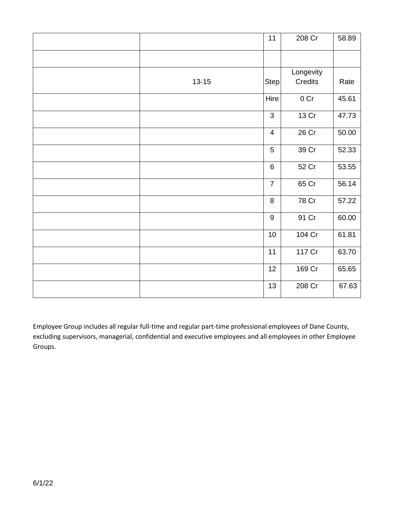|           | 11               | 208 Cr    | 58.89 |
|-----------|------------------|-----------|-------|
|           |                  |           |       |
|           |                  | Longevity |       |
| $13 - 15$ | Step             | Credits   | Rate  |
|           | Hire             | 0 Cr      | 45.61 |
|           | 3                | 13 Cr     | 47.73 |
|           | $\overline{4}$   | 26 Cr     | 50.00 |
|           | 5                | 39 Cr     | 52.33 |
|           | $\,6$            | 52 Cr     | 53.55 |
|           | $\overline{7}$   | 65 Cr     | 56.14 |
|           | 8                | 78 Cr     | 57.22 |
|           | $\boldsymbol{9}$ | 91 Cr     | 60.00 |
|           | $10$             | 104 Cr    | 61.81 |
|           | 11               | 117 Cr    | 63.70 |
|           | 12               | 169 Cr    | 65.65 |
|           | 13               | 208 Cr    | 67.63 |

Employee Group includes all regular full-time and regular part-time professional employees of Dane County, excluding supervisors, managerial, confidential and executive employees and all employees in other Employee Groups.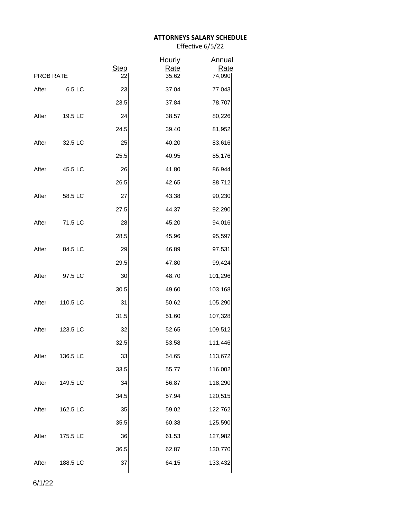# **ATTORNEYS SALARY SCHEDULE**

Effective 6/5/22

| <b>PROB RATE</b> |          | <b>Step</b><br>22 | Hourly<br><b>Rate</b><br>35.62 | Annual<br><u>Rate</u><br>74,090 |
|------------------|----------|-------------------|--------------------------------|---------------------------------|
|                  |          |                   |                                |                                 |
| After            | 6.5 LC   | 23                | 37.04                          | 77,043                          |
|                  |          | 23.5              | 37.84                          | 78,707                          |
| After            | 19.5 LC  | 24                | 38.57                          | 80,226                          |
|                  |          | 24.5              | 39.40                          | 81,952                          |
| After            | 32.5 LC  | 25                | 40.20                          | 83,616                          |
|                  |          | 25.5              | 40.95                          | 85,176                          |
| After            | 45.5 LC  | 26                | 41.80                          | 86,944                          |
|                  |          | 26.5              | 42.65                          | 88,712                          |
| After            | 58.5 LC  | 27                | 43.38                          | 90,230                          |
|                  |          | 27.5              | 44.37                          | 92,290                          |
| After            | 71.5 LC  | 28                | 45.20                          | 94,016                          |
|                  |          | 28.5              | 45.96                          | 95,597                          |
| After            | 84.5 LC  | 29                | 46.89                          | 97,531                          |
|                  |          | 29.5              | 47.80                          | 99,424                          |
| After            | 97.5 LC  | 30                | 48.70                          | 101,296                         |
|                  |          | 30.5              | 49.60                          | 103,168                         |
| After            | 110.5 LC | 31                | 50.62                          | 105,290                         |
|                  |          | 31.5              | 51.60                          | 107,328                         |
| After            | 123.5 LC | 32                | 52.65                          | 109,512                         |
|                  |          | 32.5              | 53.58                          | 111,446                         |
| After            | 136.5 LC | 33                | 54.65                          | 113,672                         |
|                  |          | 33.5              | 55.77                          | 116,002                         |
| After            | 149.5 LC | 34                | 56.87                          | 118,290                         |
|                  |          | 34.5              | 57.94                          | 120,515                         |
| After            | 162.5 LC | 35                | 59.02                          | 122,762                         |
|                  |          | 35.5              | 60.38                          | 125,590                         |
| After            | 175.5 LC | 36                | 61.53                          | 127,982                         |
|                  |          | 36.5              | 62.87                          | 130,770                         |
| After            | 188.5 LC | 37                | 64.15                          | 133,432                         |

6/1/22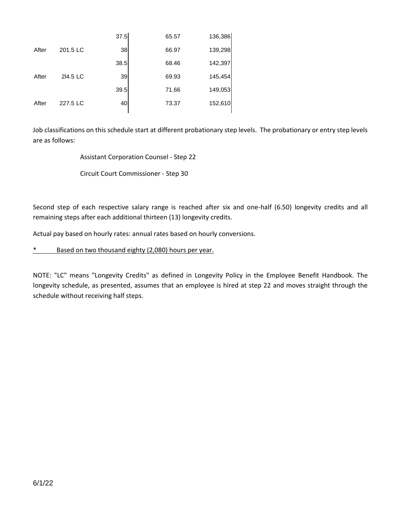|          | 37.5 | 65.57 | 136,386 |
|----------|------|-------|---------|
| 201.5 LC | 38   | 66.97 | 139,298 |
|          | 38.5 | 68.46 | 142,397 |
| 214.5 LC | 39   | 69.93 | 145,454 |
|          | 39.5 | 71.66 | 149,053 |
| 227.5 LC | 40   | 73.37 | 152,610 |
|          |      |       |         |

Job classifications on this schedule start at different probationary step levels. The probationary or entry step levels are as follows:

Assistant Corporation Counsel - Step 22

Circuit Court Commissioner - Step 30

Second step of each respective salary range is reached after six and one-half (6.50) longevity credits and all remaining steps after each additional thirteen (13) longevity credits.

Actual pay based on hourly rates: annual rates based on hourly conversions.

\* Based on two thousand eighty (2,080) hours per year.

NOTE: "LC" means "Longevity Credits" as defined in Longevity Policy in the Employee Benefit Handbook. The longevity schedule, as presented, assumes that an employee is hired at step 22 and moves straight through the schedule without receiving half steps.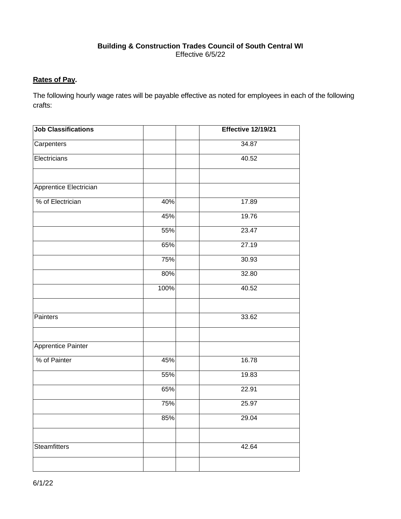# **Building & Construction Trades Council of South Central WI** Effective 6/5/22

# **Rates of Pay.**

The following hourly wage rates will be payable effective as noted for employees in each of the following crafts:

| <b>Job Classifications</b> |      | <b>Effective 12/19/21</b> |
|----------------------------|------|---------------------------|
| Carpenters                 |      | 34.87                     |
| Electricians               |      | 40.52                     |
|                            |      |                           |
| Apprentice Electrician     |      |                           |
| % of Electrician           | 40%  | 17.89                     |
|                            | 45%  | 19.76                     |
|                            | 55%  | 23.47                     |
|                            | 65%  | 27.19                     |
|                            | 75%  | 30.93                     |
|                            | 80%  | 32.80                     |
|                            | 100% | 40.52                     |
|                            |      |                           |
| Painters                   |      | 33.62                     |
|                            |      |                           |
| Apprentice Painter         |      |                           |
| % of Painter               | 45%  | 16.78                     |
|                            | 55%  | 19.83                     |
|                            | 65%  | 22.91                     |
|                            | 75%  | 25.97                     |
|                            | 85%  | 29.04                     |
|                            |      |                           |
| <b>Steamfitters</b>        |      | 42.64                     |
|                            |      |                           |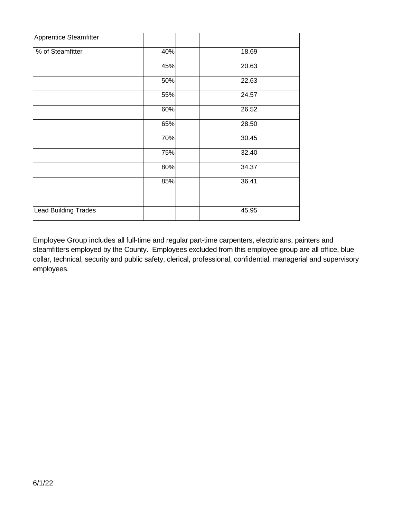| Apprentice Steamfitter      |     |       |
|-----------------------------|-----|-------|
| % of Steamfitter            | 40% | 18.69 |
|                             | 45% | 20.63 |
|                             | 50% | 22.63 |
|                             | 55% | 24.57 |
|                             | 60% | 26.52 |
|                             | 65% | 28.50 |
|                             | 70% | 30.45 |
|                             | 75% | 32.40 |
|                             | 80% | 34.37 |
|                             | 85% | 36.41 |
|                             |     |       |
| <b>Lead Building Trades</b> |     | 45.95 |

Employee Group includes all full-time and regular part-time carpenters, electricians, painters and steamfitters employed by the County. Employees excluded from this employee group are all office, blue collar, technical, security and public safety, clerical, professional, confidential, managerial and supervisory employees.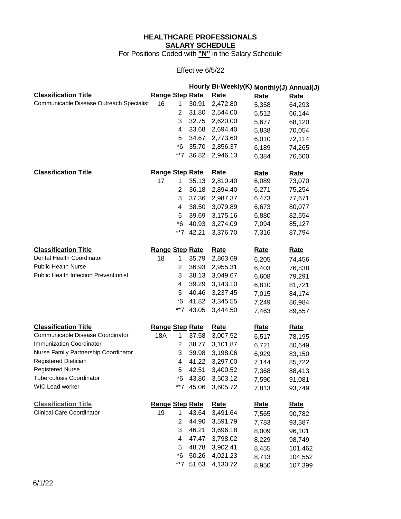# **HEALTHCARE PROFESSIONALS SALARY SCHEDULE**

For Positions Coded with **"N"** in the Salary Schedule

# Effective 6/5/22

|                                              |                        |                |           | Hourly Bi-Weekly(K) Monthly(J) Annual(J) |             |             |
|----------------------------------------------|------------------------|----------------|-----------|------------------------------------------|-------------|-------------|
| <b>Classification Title</b>                  | <b>Range Step Rate</b> |                |           | Rate                                     | Rate        | Rate        |
| Communicable Disease Outreach Specialist     | 16                     | 1              | 30.91     | 2,472.80                                 | 5,358       | 64,293      |
|                                              |                        | $\overline{2}$ | 31.80     | 2,544.00                                 | 5,512       | 66,144      |
|                                              |                        | 3              | 32.75     | 2,620.00                                 | 5,677       | 68,120      |
|                                              |                        | 4              | 33.68     | 2,694.40                                 | 5,838       | 70,054      |
|                                              |                        | 5              | 34.67     | 2,773.60                                 | 6,010       | 72,114      |
|                                              |                        | $^*6$          | 35.70     | 2,856.37                                 | 6,189       | 74,265      |
|                                              |                        | **7            | 36.82     | 2,946.13                                 | 6,384       | 76,600      |
| <b>Classification Title</b>                  | <b>Range Step Rate</b> |                |           | Rate                                     | Rate        | Rate        |
|                                              | 17                     | 1              | 35.13     | 2,810.40                                 | 6,089       | 73,070      |
|                                              |                        | 2              | 36.18     | 2,894.40                                 | 6,271       | 75,254      |
|                                              |                        | 3              | 37.36     | 2,987.37                                 | 6,473       | 77,671      |
|                                              |                        | 4              | 38.50     | 3,079.89                                 | 6,673       | 80,077      |
|                                              |                        | 5              | 39.69     | 3,175.16                                 | 6,880       | 82,554      |
|                                              |                        | $*6$           | 40.93     | 3,274.09                                 | 7,094       | 85,127      |
|                                              |                        | **7            | 42.21     | 3,376.70                                 | 7,316       | 87,794      |
| <b>Classification Title</b>                  | <b>Range Step Rate</b> |                |           | <b>Rate</b>                              | <u>Rate</u> | <u>Rate</u> |
| Dental Health Coordinator                    | 18                     | 1              | 35.79     | 2,863.69                                 | 6,205       | 74,456      |
| <b>Public Health Nurse</b>                   |                        | 2              | 36.93     | 2,955.31                                 | 6,403       | 76,838      |
| <b>Public Health Infection Preventionist</b> |                        | 3              | 38.13     | 3,049.67                                 | 6,608       | 79,291      |
|                                              |                        | 4              | 39.29     | 3,143.10                                 | 6,810       | 81,721      |
|                                              |                        | 5              | 40.46     | 3,237.45                                 | 7,015       | 84,174      |
|                                              |                        | $*6$           | 41.82     | 3,345.55                                 | 7,249       | 86,984      |
|                                              |                        | $**7$          | 43.05     | 3,444.50                                 | 7,463       | 89,557      |
| <b>Classification Title</b>                  | <b>Range Step Rate</b> |                |           | <b>Rate</b>                              | <u>Rate</u> | <b>Rate</b> |
| Communicable Disease Coordinator             | 18A                    | 1              | 37.58     | 3,007.52                                 | 6,517       | 78,195      |
| Immunization Coordinator                     |                        | $\overline{2}$ | 38.77     | 3,101.87                                 | 6,721       | 80,649      |
| Nurse Family Partnership Coordinator         |                        | 3              | 39.98     | 3,198.06                                 | 6,929       | 83,150      |
| Registered Dietician                         |                        | 4              | 41.22     | 3,297.00                                 | 7,144       | 85,722      |
| <b>Registered Nurse</b>                      |                        | 5              | 42.51     | 3,400.52                                 | 7,368       | 88,413      |
| <b>Tuberculosis Coordinator</b>              |                        | $*6$           | 43.80     | 3,503.12                                 | 7,590       | 91,081      |
| WIC Lead worker                              |                        | $**7$          | 45.06     | 3,605.72                                 | 7,813       | 93,749      |
| <b>Classification Title</b>                  | Range Step Rate        |                |           | <b>Rate</b>                              | <u>Rate</u> | <b>Rate</b> |
| <b>Clinical Care Coordinator</b>             | 19                     | 1              | 43.64     | 3,491.64                                 | 7,565       | 90,782      |
|                                              |                        | $\overline{2}$ | 44.90     | 3,591.79                                 | 7,783       | 93,387      |
|                                              |                        | 3              | 46.21     | 3,696.18                                 | 8,009       | 96,101      |
|                                              |                        | 4              | 47.47     | 3,798.02                                 | 8,229       | 98,749      |
|                                              |                        | 5              | 48.78     | 3,902.41                                 | 8,455       | 101,462     |
|                                              |                        | $*6$           | 50.26     | 4,021.23                                 | 8,713       | 104,552     |
|                                              |                        |                | **7 51.63 | 4,130.72                                 | 8,950       | 107,399     |